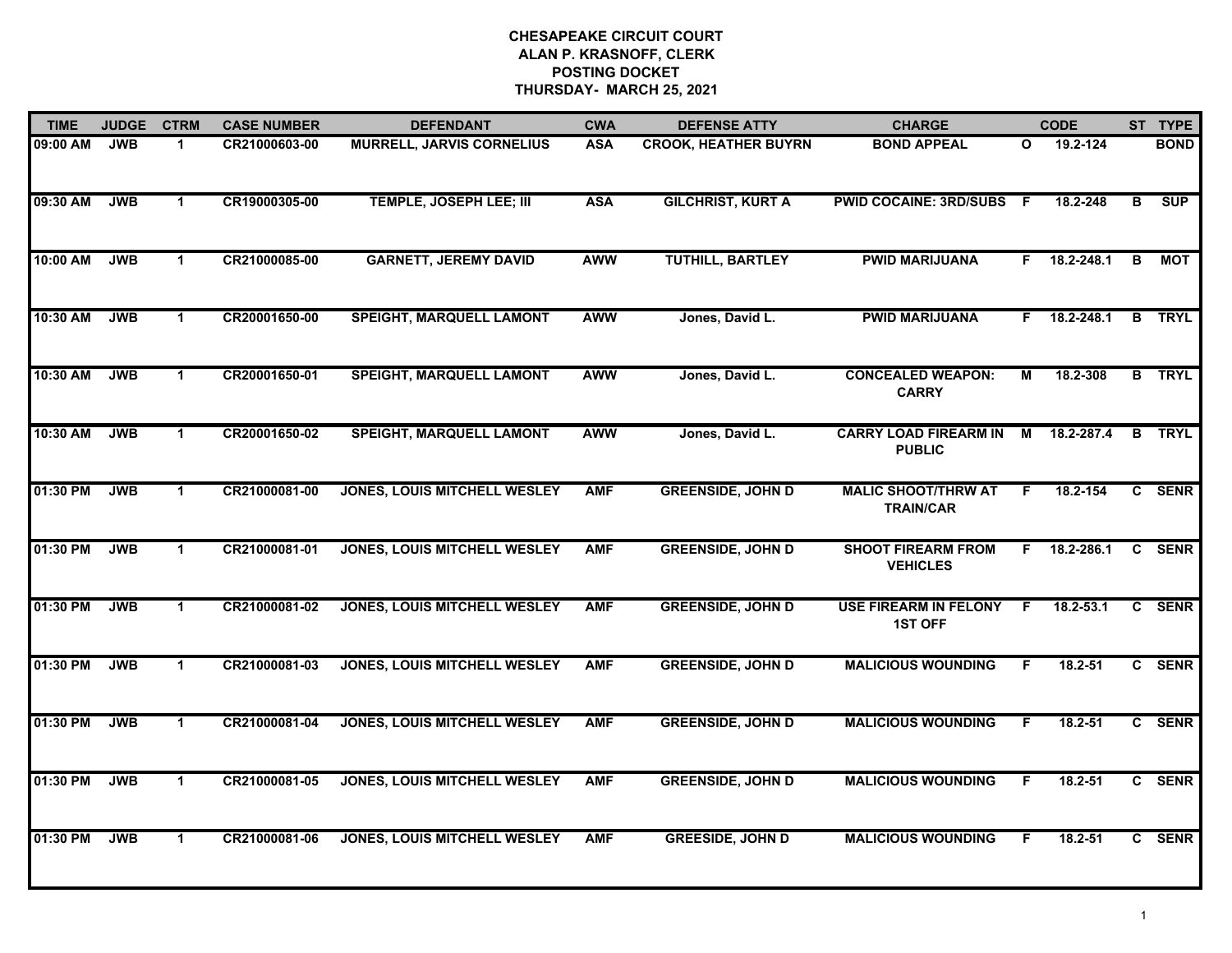| <b>TIME</b> | <b>JUDGE</b> | <b>CTRM</b>          | <b>CASE NUMBER</b> | <b>DEFENDANT</b>                    | <b>CWA</b> | <b>DEFENSE ATTY</b>         | <b>CHARGE</b>                                  |              | <b>CODE</b> |              | ST TYPE       |
|-------------|--------------|----------------------|--------------------|-------------------------------------|------------|-----------------------------|------------------------------------------------|--------------|-------------|--------------|---------------|
| 09:00 AM    | <b>JWB</b>   | $\mathbf 1$          | CR21000603-00      | <b>MURRELL, JARVIS CORNELIUS</b>    | <b>ASA</b> | <b>CROOK, HEATHER BUYRN</b> | <b>BOND APPEAL</b>                             | $\mathbf{o}$ | 19.2-124    |              | <b>BOND</b>   |
| 09:30 AM    | <b>JWB</b>   | $\blacktriangleleft$ | CR19000305-00      | <b>TEMPLE, JOSEPH LEE; III</b>      | <b>ASA</b> | <b>GILCHRIST, KURT A</b>    | <b>PWID COCAINE: 3RD/SUBS F</b>                |              | 18.2-248    | B            | <b>SUP</b>    |
| 10:00 AM    | <b>JWB</b>   | $\blacktriangleleft$ | CR21000085-00      | <b>GARNETT, JEREMY DAVID</b>        | <b>AWW</b> | <b>TUTHILL, BARTLEY</b>     | <b>PWID MARIJUANA</b>                          | F.           | 18.2-248.1  | в            | МОТ           |
| 10:30 AM    | <b>JWB</b>   | $\mathbf 1$          | CR20001650-00      | SPEIGHT, MARQUELL LAMONT            | <b>AWW</b> | Jones, David L.             | <b>PWID MARIJUANA</b>                          | F.           | 18.2-248.1  |              | <b>B</b> TRYL |
| 10:30 AM    | <b>JWB</b>   | $\blacktriangleleft$ | CR20001650-01      | <b>SPEIGHT, MARQUELL LAMONT</b>     | <b>AWW</b> | Jones, David L.             | <b>CONCEALED WEAPON:</b><br><b>CARRY</b>       | М            | 18.2-308    |              | <b>B</b> TRYL |
| 10:30 AM    | <b>JWB</b>   | $\blacktriangleleft$ | CR20001650-02      | <b>SPEIGHT, MARQUELL LAMONT</b>     | <b>AWW</b> | Jones, David L.             | <b>CARRY LOAD FIREARM IN</b><br><b>PUBLIC</b>  | М            | 18.2-287.4  | В            | <b>TRYL</b>   |
| 01:30 PM    | <b>JWB</b>   | $\mathbf{1}$         | CR21000081-00      | <b>JONES, LOUIS MITCHELL WESLEY</b> | <b>AMF</b> | <b>GREENSIDE, JOHN D</b>    | <b>MALIC SHOOT/THRW AT</b><br><b>TRAIN/CAR</b> | E            | 18.2-154    | $\mathbf{c}$ | <b>SENR</b>   |
| 01:30 PM    | <b>JWB</b>   | $\blacktriangleleft$ | CR21000081-01      | <b>JONES, LOUIS MITCHELL WESLEY</b> | <b>AMF</b> | <b>GREENSIDE, JOHN D</b>    | <b>SHOOT FIREARM FROM</b><br><b>VEHICLES</b>   | F.           | 18.2-286.1  | C            | <b>SENR</b>   |
| 01:30 PM    | <b>JWB</b>   | $\blacktriangleleft$ | CR21000081-02      | <b>JONES, LOUIS MITCHELL WESLEY</b> | <b>AMF</b> | <b>GREENSIDE, JOHN D</b>    | <b>USE FIREARM IN FELONY</b><br><b>1ST OFF</b> | F.           | 18.2-53.1   | C.           | <b>SENR</b>   |
| 01:30 PM    | <b>JWB</b>   | $\mathbf{1}$         | CR21000081-03      | <b>JONES, LOUIS MITCHELL WESLEY</b> | <b>AMF</b> | <b>GREENSIDE, JOHN D</b>    | <b>MALICIOUS WOUNDING</b>                      | F            | 18.2-51     |              | C SENR        |
| 01:30 PM    | <b>JWB</b>   | $\blacktriangleleft$ | CR21000081-04      | <b>JONES, LOUIS MITCHELL WESLEY</b> | <b>AMF</b> | <b>GREENSIDE, JOHN D</b>    | <b>MALICIOUS WOUNDING</b>                      | F            | 18.2-51     |              | C SENR        |
| 01:30 PM    | <b>JWB</b>   | $\mathbf 1$          | CR21000081-05      | <b>JONES, LOUIS MITCHELL WESLEY</b> | <b>AMF</b> | <b>GREENSIDE, JOHN D</b>    | <b>MALICIOUS WOUNDING</b>                      | F            | $18.2 - 51$ | $\mathbf{c}$ | <b>SENR</b>   |
| 01:30 PM    | <b>JWB</b>   | $\mathbf 1$          | CR21000081-06      | <b>JONES, LOUIS MITCHELL WESLEY</b> | <b>AMF</b> | <b>GREESIDE, JOHN D</b>     | <b>MALICIOUS WOUNDING</b>                      | F.           | $18.2 - 51$ |              | C SENR        |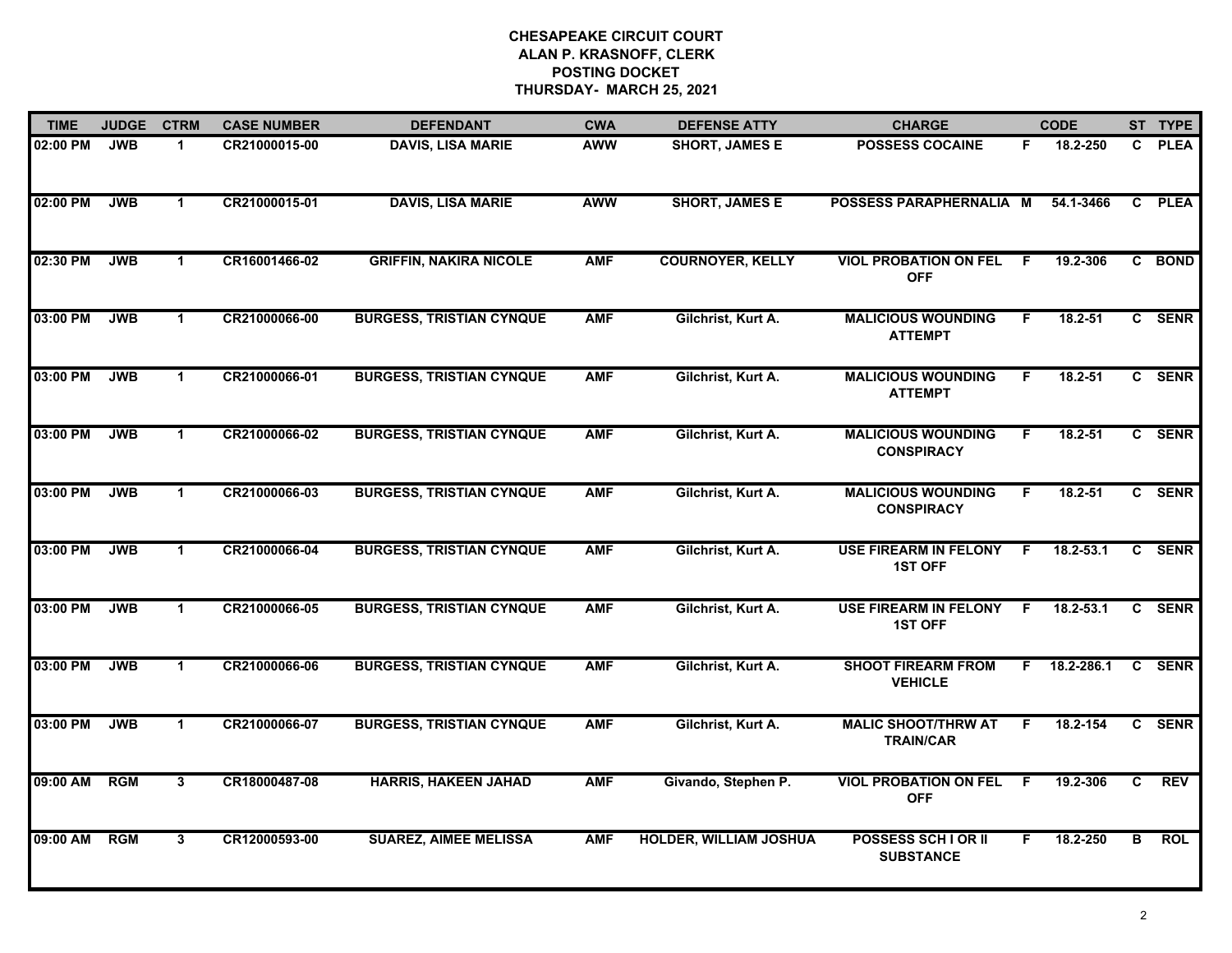| <b>TIME</b> | <b>JUDGE</b> | <b>CTRM</b>          | <b>CASE NUMBER</b> | <b>DEFENDANT</b>                | <b>CWA</b> | <b>DEFENSE ATTY</b>           | <b>CHARGE</b>                                  |    | <b>CODE</b> |              | ST TYPE     |
|-------------|--------------|----------------------|--------------------|---------------------------------|------------|-------------------------------|------------------------------------------------|----|-------------|--------------|-------------|
| 02:00 PM    | <b>JWB</b>   | $\blacktriangleleft$ | CR21000015-00      | <b>DAVIS, LISA MARIE</b>        | <b>AWW</b> | <b>SHORT, JAMES E</b>         | <b>POSSESS COCAINE</b>                         | F. | 18.2-250    | $\mathbf{c}$ | <b>PLEA</b> |
| 02:00 PM    | <b>JWB</b>   | $\mathbf 1$          | CR21000015-01      | <b>DAVIS, LISA MARIE</b>        | <b>AWW</b> | <b>SHORT, JAMES E</b>         | POSSESS PARAPHERNALIA M                        |    | 54.1-3466   | C.           | <b>PLEA</b> |
| 02:30 PM    | <b>JWB</b>   | $\mathbf{1}$         | CR16001466-02      | <b>GRIFFIN, NAKIRA NICOLE</b>   | <b>AMF</b> | <b>COURNOYER, KELLY</b>       | <b>VIOL PROBATION ON FEL</b><br><b>OFF</b>     | .F | 19.2-306    |              | C BOND      |
| 03:00 PM    | <b>JWB</b>   | $\mathbf 1$          | CR21000066-00      | <b>BURGESS, TRISTIAN CYNQUE</b> | <b>AMF</b> | Gilchrist, Kurt A.            | <b>MALICIOUS WOUNDING</b><br><b>ATTEMPT</b>    | F  | $18.2 - 51$ |              | C SENR      |
| 03:00 PM    | <b>JWB</b>   | $\mathbf 1$          | CR21000066-01      | <b>BURGESS, TRISTIAN CYNQUE</b> | <b>AMF</b> | Gilchrist, Kurt A.            | <b>MALICIOUS WOUNDING</b><br><b>ATTEMPT</b>    | F. | 18.2-51     |              | C SENR      |
| 03:00 PM    | <b>JWB</b>   | $\blacktriangleleft$ | CR21000066-02      | <b>BURGESS, TRISTIAN CYNQUE</b> | <b>AMF</b> | Gilchrist, Kurt A.            | <b>MALICIOUS WOUNDING</b><br><b>CONSPIRACY</b> | F. | $18.2 - 51$ |              | C SENR      |
| 03:00 PM    | <b>JWB</b>   | $\mathbf{1}$         | CR21000066-03      | <b>BURGESS, TRISTIAN CYNQUE</b> | <b>AMF</b> | Gilchrist, Kurt A.            | <b>MALICIOUS WOUNDING</b><br><b>CONSPIRACY</b> | F  | $18.2 - 51$ |              | C SENR      |
| 03:00 PM    | <b>JWB</b>   | $\blacktriangleleft$ | CR21000066-04      | <b>BURGESS, TRISTIAN CYNQUE</b> | <b>AMF</b> | Gilchrist, Kurt A.            | <b>USE FIREARM IN FELONY</b><br><b>1ST OFF</b> | F  | 18.2-53.1   |              | C SENR      |
| 03:00 PM    | <b>JWB</b>   | $\blacktriangleleft$ | CR21000066-05      | <b>BURGESS, TRISTIAN CYNQUE</b> | <b>AMF</b> | Gilchrist, Kurt A.            | <b>USE FIREARM IN FELONY</b><br><b>1ST OFF</b> | F  | 18.2-53.1   |              | C SENR      |
| 03:00 PM    | <b>JWB</b>   | $\mathbf{1}$         | CR21000066-06      | <b>BURGESS, TRISTIAN CYNQUE</b> | <b>AMF</b> | Gilchrist, Kurt A.            | <b>SHOOT FIREARM FROM</b><br><b>VEHICLE</b>    | F. | 18.2-286.1  |              | C SENR      |
| 03:00 PM    | <b>JWB</b>   | $\mathbf 1$          | CR21000066-07      | <b>BURGESS, TRISTIAN CYNQUE</b> | <b>AMF</b> | Gilchrist, Kurt A.            | <b>MALIC SHOOT/THRW AT</b><br><b>TRAIN/CAR</b> | F. | 18.2-154    |              | C SENR      |
| 09:00 AM    | <b>RGM</b>   | $\overline{3}$       | CR18000487-08      | <b>HARRIS, HAKEEN JAHAD</b>     | <b>AMF</b> | Givando, Stephen P.           | <b>VIOL PROBATION ON FEL</b><br><b>OFF</b>     | F. | 19.2-306    | C.           | <b>REV</b>  |
| 09:00 AM    | RGM          | 3                    | CR12000593-00      | <b>SUAREZ, AIMEE MELISSA</b>    | <b>AMF</b> | <b>HOLDER, WILLIAM JOSHUA</b> | <b>POSSESS SCH I OR II</b><br><b>SUBSTANCE</b> | F. | 18.2-250    | В            | <b>ROL</b>  |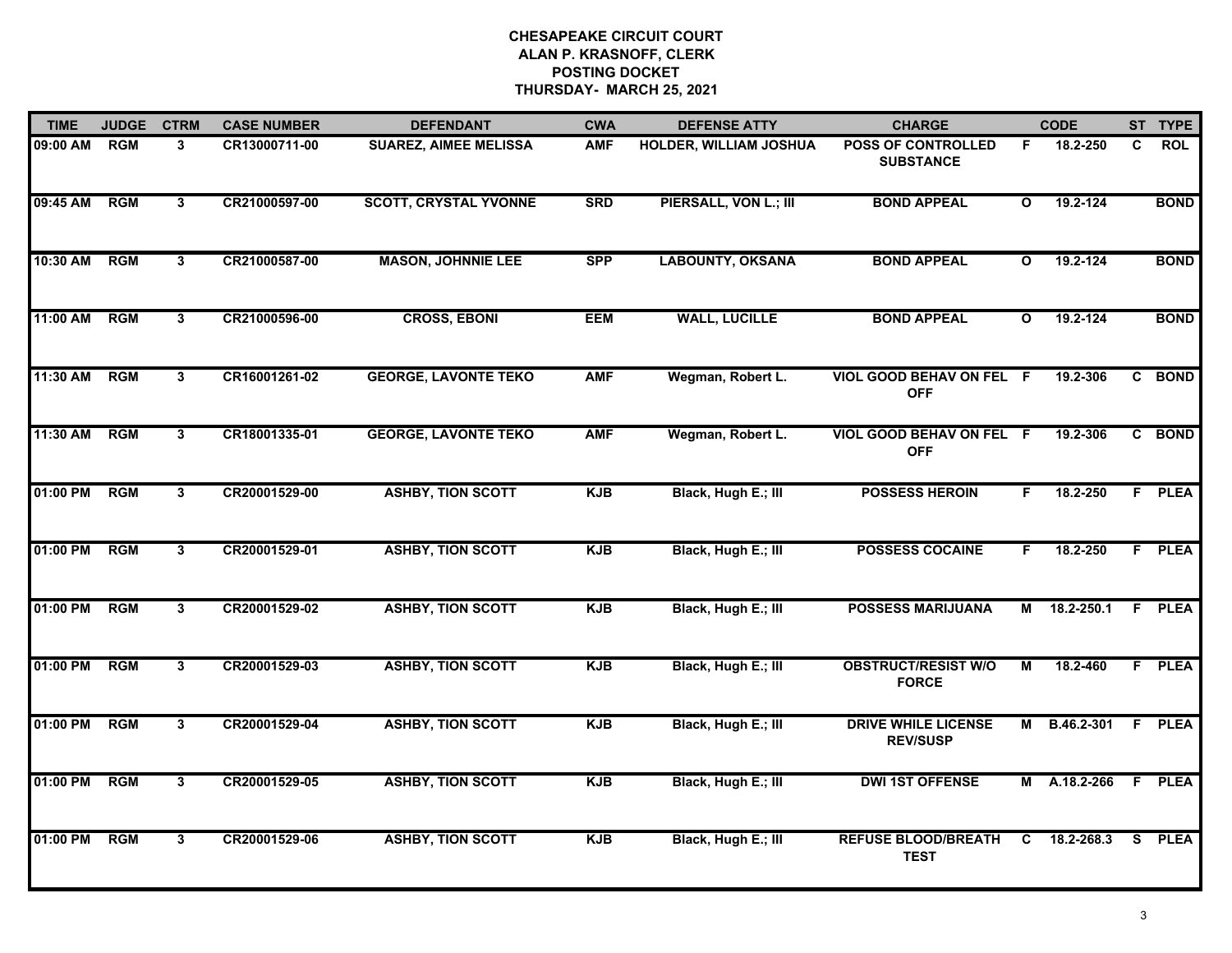| <b>TIME</b> | <b>JUDGE</b> | <b>CTRM</b>  | <b>CASE NUMBER</b> | <b>DEFENDANT</b>             | <b>CWA</b> | <b>DEFENSE ATTY</b>     | <b>CHARGE</b>                                 |                         | <b>CODE</b> |   | ST TYPE       |
|-------------|--------------|--------------|--------------------|------------------------------|------------|-------------------------|-----------------------------------------------|-------------------------|-------------|---|---------------|
| 09:00 AM    | <b>RGM</b>   | 3            | CR13000711-00      | <b>SUAREZ, AIMEE MELISSA</b> | <b>AMF</b> | HOLDER, WILLIAM JOSHUA  | <b>POSS OF CONTROLLED</b><br><b>SUBSTANCE</b> | F.                      | 18.2-250    | C | <b>ROL</b>    |
| 09:45 AM    | RGM          | $\mathbf{3}$ | CR21000597-00      | <b>SCOTT, CRYSTAL YVONNE</b> | <b>SRD</b> | PIERSALL, VON L.; III   | <b>BOND APPEAL</b>                            | $\mathbf{o}$            | 19.2-124    |   | <b>BOND</b>   |
| 10:30 AM    | RGM          | 3            | CR21000587-00      | <b>MASON, JOHNNIE LEE</b>    | <b>SPP</b> | <b>LABOUNTY, OKSANA</b> | <b>BOND APPEAL</b>                            | $\overline{\mathbf{o}}$ | 19.2-124    |   | <b>BOND</b>   |
| 11:00 AM    | <b>RGM</b>   | 3            | CR21000596-00      | <b>CROSS, EBONI</b>          | <b>EEM</b> | <b>WALL, LUCILLE</b>    | <b>BOND APPEAL</b>                            | $\mathbf{o}$            | 19.2-124    |   | <b>BOND</b>   |
| 11:30 AM    | <b>RGM</b>   | 3            | CR16001261-02      | <b>GEORGE, LAVONTE TEKO</b>  | <b>AMF</b> | Wegman, Robert L.       | VIOL GOOD BEHAV ON FEL F<br><b>OFF</b>        |                         | 19.2-306    |   | C BOND        |
| 11:30 AM    | <b>RGM</b>   | 3            | CR18001335-01      | <b>GEORGE, LAVONTE TEKO</b>  | <b>AMF</b> | Wegman, Robert L.       | VIOL GOOD BEHAV ON FEL F<br><b>OFF</b>        |                         | 19.2-306    |   | C BOND        |
| 01:00 PM    | <b>RGM</b>   | 3            | CR20001529-00      | <b>ASHBY, TION SCOTT</b>     | <b>KJB</b> | Black, Hugh E.; III     | <b>POSSESS HEROIN</b>                         | F.                      | 18.2-250    |   | F PLEA        |
| 01:00 PM    | RGM          | 3            | CR20001529-01      | <b>ASHBY, TION SCOTT</b>     | <b>KJB</b> | Black, Hugh E.; III     | <b>POSSESS COCAINE</b>                        | F.                      | 18.2-250    |   | <b>F</b> PLEA |
| 01:00 PM    | <b>RGM</b>   | 3            | CR20001529-02      | <b>ASHBY, TION SCOTT</b>     | <b>KJB</b> | Black, Hugh E.; III     | <b>POSSESS MARIJUANA</b>                      | М                       | 18.2-250.1  |   | F PLEA        |
| 01:00 PM    | <b>RGM</b>   | $\mathbf{3}$ | CR20001529-03      | <b>ASHBY, TION SCOTT</b>     | <b>KJB</b> | Black, Hugh E.; III     | <b>OBSTRUCT/RESIST W/O</b><br><b>FORCE</b>    | M                       | 18.2-460    |   | F PLEA        |
| 01:00 PM    | RGM          | 3            | CR20001529-04      | <b>ASHBY, TION SCOTT</b>     | <b>KJB</b> | Black, Hugh E.; III     | <b>DRIVE WHILE LICENSE</b><br><b>REV/SUSP</b> | М                       | B.46.2-301  |   | F PLEA        |
| 01:00 PM    | <b>RGM</b>   | 3            | CR20001529-05      | <b>ASHBY, TION SCOTT</b>     | <b>KJB</b> | Black, Hugh E.; III     | <b>DWI 1ST OFFENSE</b>                        | М                       | A.18.2-266  |   | F PLEA        |
| 01:00 PM    | <b>RGM</b>   | 3            | CR20001529-06      | <b>ASHBY, TION SCOTT</b>     | <b>KJB</b> | Black, Hugh E.; III     | <b>REFUSE BLOOD/BREATH</b><br><b>TEST</b>     | C                       | 18.2-268.3  |   | S PLEA        |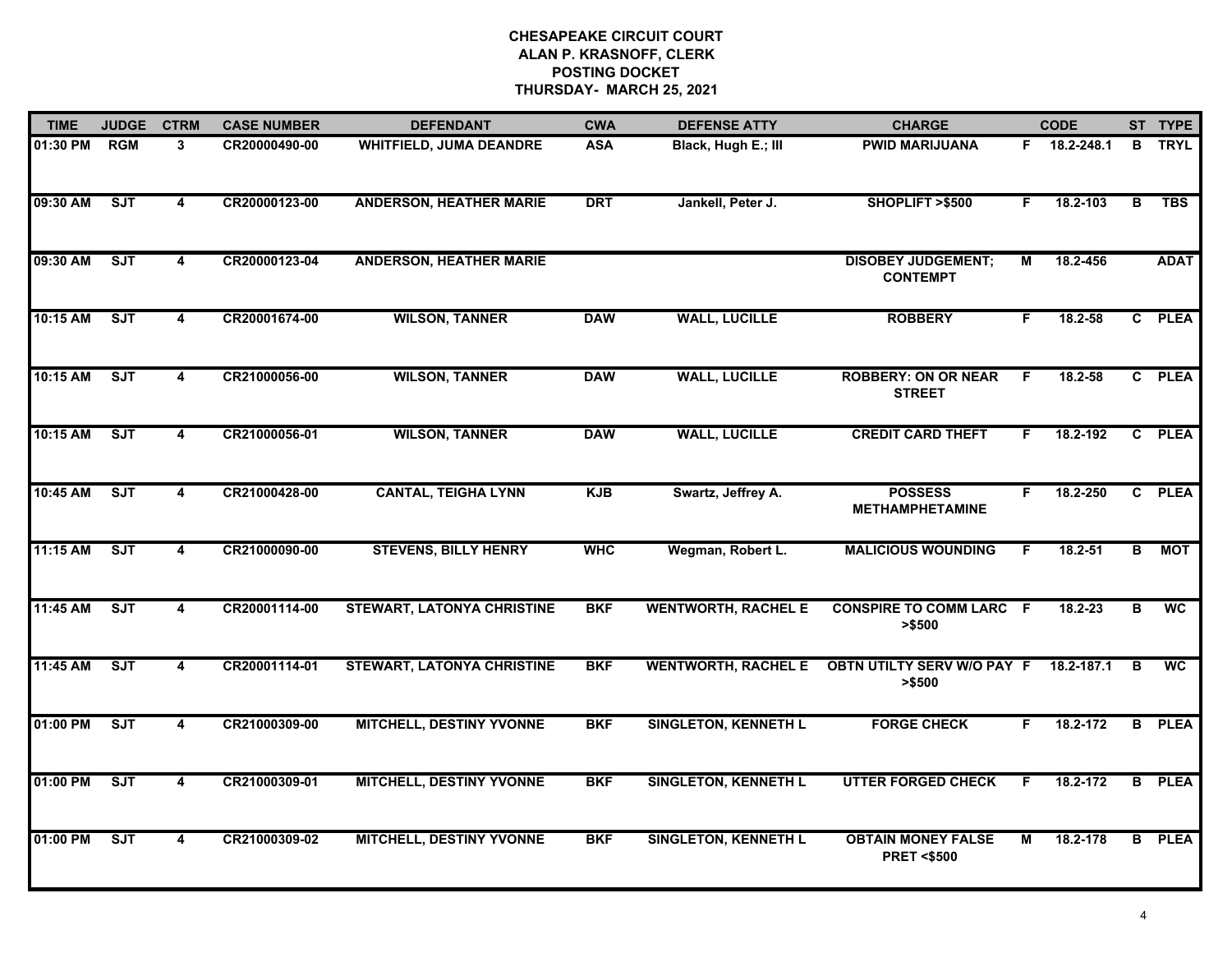| <b>TIME</b> | <b>JUDGE</b> | <b>CTRM</b>             | <b>CASE NUMBER</b> | <b>DEFENDANT</b>                  | <b>CWA</b> | <b>DEFENSE ATTY</b>         | <b>CHARGE</b>                                      |    | <b>CODE</b>  |                | ST TYPE       |
|-------------|--------------|-------------------------|--------------------|-----------------------------------|------------|-----------------------------|----------------------------------------------------|----|--------------|----------------|---------------|
| 01:30 PM    | <b>RGM</b>   | $\mathbf{3}$            | CR20000490-00      | <b>WHITFIELD, JUMA DEANDRE</b>    | <b>ASA</b> | Black, Hugh E.; III         | <b>PWID MARIJUANA</b>                              |    | F 18.2-248.1 | B              | <b>TRYL</b>   |
| 09:30 AM    | ST           | $\overline{4}$          | CR20000123-00      | <b>ANDERSON, HEATHER MARIE</b>    | <b>DRT</b> | Jankell, Peter J.           | SHOPLIFT >\$500                                    | F. | 18.2-103     | B              | <b>TBS</b>    |
| 09:30 AM    | ST           | 4                       | CR20000123-04      | <b>ANDERSON, HEATHER MARIE</b>    |            |                             | <b>DISOBEY JUDGEMENT;</b><br><b>CONTEMPT</b>       | М  | 18.2-456     |                | <b>ADAT</b>   |
| 10:15 AM    | SJT          | 4                       | CR20001674-00      | <b>WILSON, TANNER</b>             | <b>DAW</b> | <b>WALL, LUCILLE</b>        | <b>ROBBERY</b>                                     | F. | $18.2 - 58$  |                | C PLEA        |
| 10:15 AM    | SJT          | 4                       | CR21000056-00      | <b>WILSON, TANNER</b>             | <b>DAW</b> | <b>WALL, LUCILLE</b>        | <b>ROBBERY: ON OR NEAR</b><br><b>STREET</b>        | F  | 18.2-58      |                | C PLEA        |
| 10:15 AM    | ST           | $\overline{\mathbf{4}}$ | CR21000056-01      | <b>WILSON, TANNER</b>             | <b>DAW</b> | <b>WALL, LUCILLE</b>        | <b>CREDIT CARD THEFT</b>                           | F. | 18.2-192     |                | C PLEA        |
| 10:45 AM    | ST           | $\overline{4}$          | CR21000428-00      | <b>CANTAL, TEIGHA LYNN</b>        | <b>KJB</b> | Swartz, Jeffrey A.          | <b>POSSESS</b><br><b>METHAMPHETAMINE</b>           | F. | 18.2-250     |                | C PLEA        |
| 11:15 AM    | ST           | $\overline{\mathbf{4}}$ | CR21000090-00      | <b>STEVENS, BILLY HENRY</b>       | <b>WHC</b> | Wegman, Robert L.           | <b>MALICIOUS WOUNDING</b>                          | F. | $18.2 - 51$  | $\overline{B}$ | <b>MOT</b>    |
| 11:45 AM    | <b>SJT</b>   | 4                       | CR20001114-00      | <b>STEWART, LATONYA CHRISTINE</b> | <b>BKF</b> | <b>WENTWORTH, RACHEL E</b>  | <b>CONSPIRE TO COMM LARC F</b><br>> \$500          |    | 18.2-23      | в              | <b>WC</b>     |
| 11:45 AM    | SJT          | 4                       | CR20001114-01      | <b>STEWART, LATONYA CHRISTINE</b> | <b>BKF</b> | <b>WENTWORTH, RACHEL E</b>  | <b>OBTN UTILTY SERV W/O PAY F</b><br>> \$500       |    | 18.2-187.1   | B              | <b>WC</b>     |
| 01:00 PM    | SJT          | 4                       | CR21000309-00      | <b>MITCHELL, DESTINY YVONNE</b>   | <b>BKF</b> | <b>SINGLETON, KENNETH L</b> | <b>FORGE CHECK</b>                                 | F. | 18.2-172     |                | <b>B</b> PLEA |
| 01:00 PM    | ST           | $\overline{\mathbf{4}}$ | CR21000309-01      | <b>MITCHELL, DESTINY YVONNE</b>   | <b>BKF</b> | <b>SINGLETON, KENNETH L</b> | <b>UTTER FORGED CHECK</b>                          | F. | 18.2-172     |                | <b>B</b> PLEA |
| 01:00 PM    | ST           | 4                       | CR21000309-02      | <b>MITCHELL, DESTINY YVONNE</b>   | <b>BKF</b> | <b>SINGLETON, KENNETH L</b> | <b>OBTAIN MONEY FALSE</b><br><b>PRET &lt;\$500</b> | М  | 18.2-178     |                | <b>B</b> PLEA |